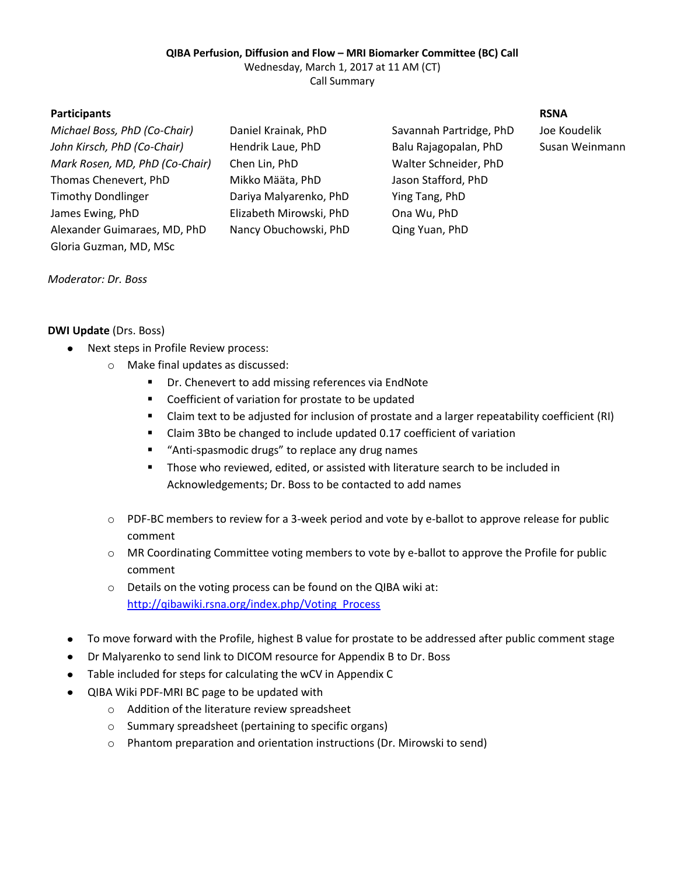# **QIBA Perfusion, Diffusion and Flow – MRI Biomarker Committee (BC) Call**

Wednesday, March 1, 2017 at 11 AM (CT)

Call Summary

# **Participants RSNA**

| Daniel Krainak, PhD     | Savannah Partridge, PhD | Joe Koudelik |
|-------------------------|-------------------------|--------------|
| Hendrik Laue, PhD       | Balu Rajagopalan, PhD   | Susan Weinr  |
| Chen Lin, PhD           | Walter Schneider, PhD   |              |
| Mikko Määta, PhD        | Jason Stafford, PhD     |              |
| Dariya Malyarenko, PhD  | Ying Tang, PhD          |              |
| Elizabeth Mirowski, PhD | Ona Wu, PhD             |              |
| Nancy Obuchowski, PhD   | Qing Yuan, PhD          |              |
|                         |                         |              |
|                         |                         |              |

*John Kirsch, PhD (Co-Chair)* Hendrik Laue, PhD Balu Rajagopalan, PhD Susan Weinmann

# *Moderator: Dr. Boss*

# **DWI Update** (Drs. Boss)

- Next steps in Profile Review process:  $\bullet$ 
	- o Make final updates as discussed:
		- Dr. Chenevert to add missing references via EndNote
		- **Coefficient of variation for prostate to be updated**
		- Claim text to be adjusted for inclusion of prostate and a larger repeatability coefficient (RI)
		- Claim 3Bto be changed to include updated 0.17 coefficient of variation
		- "Anti-spasmodic drugs" to replace any drug names
		- **Those who reviewed, edited, or assisted with literature search to be included in** Acknowledgements; Dr. Boss to be contacted to add names
	- o PDF-BC members to review for a 3-week period and vote by e-ballot to approve release for public comment
	- o MR Coordinating Committee voting members to vote by e-ballot to approve the Profile for public comment
	- o Details on the voting process can be found on the QIBA wiki at: [http://qibawiki.rsna.org/index.php/Voting\\_Process](http://qibawiki.rsna.org/index.php/Voting_Process)
- To move forward with the Profile, highest B value for prostate to be addressed after public comment stage  $\bullet$
- Dr Malyarenko to send link to DICOM resource for Appendix B to Dr. Boss
- Table included for steps for calculating the wCV in Appendix C
- QIBA Wiki PDF-MRI BC page to be updated with  $\bullet$ 
	- o Addition of the literature review spreadsheet
	- o Summary spreadsheet (pertaining to specific organs)
	- o Phantom preparation and orientation instructions (Dr. Mirowski to send)